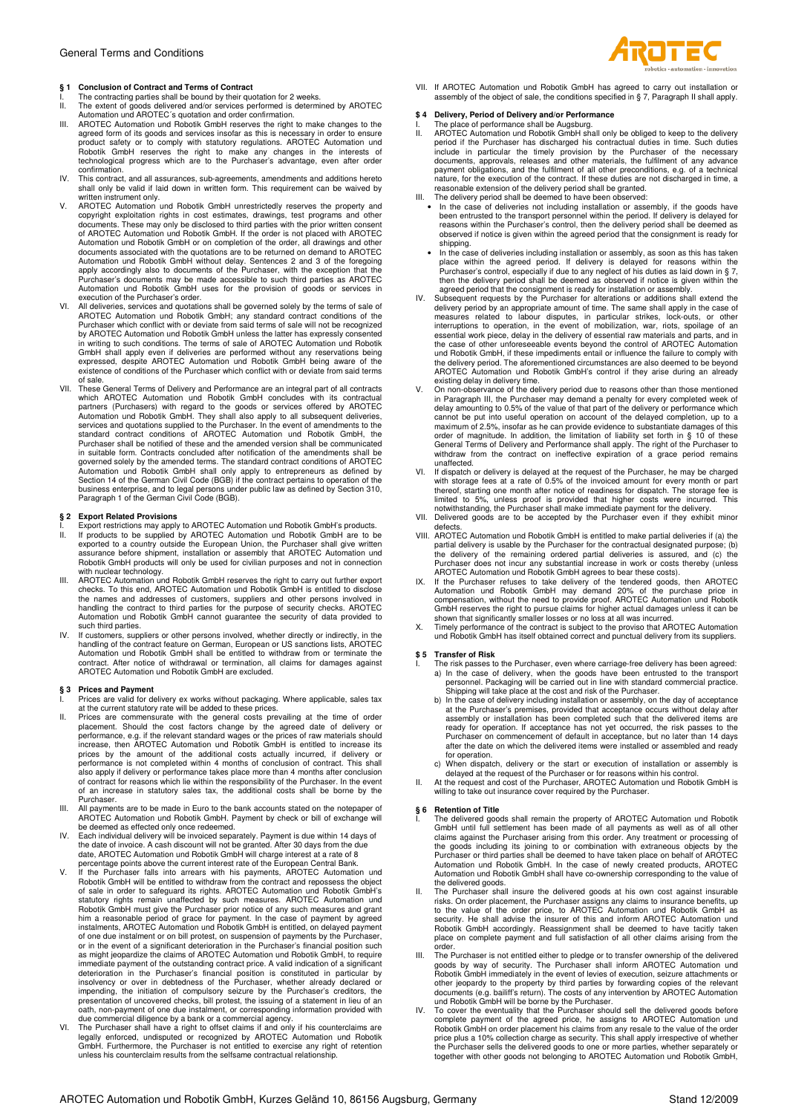# **§ 1 Conclusion of Contract and Terms of Contract**

- I. The contracting parties shall be bound by their quotation for 2 weeks.<br>II. The extent of goods delivered and/or services performed is determined
- II. The extent of goods delivered and/or services performed is determined by AROTEC Automation und AROTEC´s quotation and order confirmation.
- III. AROTEC Automation und Robotik GmbH reserves the right to make changes to the agreed form of its goods and services insofar as this is necessary in order to ensure product safety or to comply with statutory regulations
- This contract, and all assurances, sub-agreements, amendments and additions hereto shall only be valid if laid down in written form. This requirement can be waived by written instrument only.
- V. AROTEC Automation und Robotik GmbH unrestrictedly reserves the property and copyright exploitation rights in cost estimates, drawings, test programs and other<br>documents. These may only be disclosed to third parties with the prior written consent<br>of AROTEC Automation und Robotik GmbH. If the order Automation und Robotik GmbH or on completion of the order, all drawings and other<br>documents associated with the quotations are to be returned on demand to AROTEC<br>Automation und Robotik GmbH without delay. Sentences 2 and 3 Purchaser's documents may be made accessible to such third parties as AROTEC Automation und Robotik GmbH uses for the provision of goods or services in execution of the Purchaser's order.
- VI. All deliveries, services and quotations shall be governed solely by the terms of sale of<br>AROTEC Automation und Robotik GmbH; any standard contract conditions of the<br>Purchaser which conflict with or deviate from said te by AROTEC Automation und Robotik GmbH unless the latter has expressly consented in writing to such conditions. The terms of sale of AROTEC Automation und Robotik<br>GmbH shall apply even if deliveries are performed without any reservations being<br>expressed, despite AROTEC Automation und Robotik GmbH being existence of conditions of the Purchaser which conflict with or deviate from said terms of sale.
- VII. These General Terms of Delivery and Performance are an integral part of all contracts which AROTEC Automation und Robotik GmbH concludes with its contractual partners (Purchasers) with regard to the goods or services offered by AROTEC<br>Automation und Robotik GmbH. They shall also apply to all subsequent deliveries,<br>services and quotations supplied to the Purchaser. In the event Purchaser shall be notified of these and the amended version shall be communicated in suitable form. Contracts concluded after notification of the amendments shall be governed solely by the amended terms. The standard contract conditions of AROTEC Automation und Robotik GmbH shall only apply to entrepreneurs as defined by<br>Section 14 of the German Civil Code (BGB) if the contract pertains to operation of the<br>business enterprise, and to legal persons under public law

# **§ 2 Export Related Provisions**

- I. Export restrictions may apply to AROTEC Automation und Robotik GmbH's products.<br>II. If products to be supplied by AROTEC Automation und Robotik GmbH are to be<br>exported to a country outside the European Union, the Purcha Robotik GmbH products will only be used for civilian purposes and not in connection with nuclear technology.
- III. AROTEC Automation und Robotik GmbH reserves the right to carry out further export checks. To this end, AROTEC Automation und Robotik GmbH is entitled to disclose the names and addresses of customers, suppliers and other persons involved in<br>handling the contract to third parties for the purpose of security checks. AROTEC<br>Automation und Robotik GmbH cannot guarantee the security of d
- such third parties. IV. If customers, suppliers or other persons involved, whether directly or indirectly, in the handling of the contract feature on German, European or US sanctions lists, AROTEC Automation und Robotik GmbH shall be entitled to withdraw from or terminate the contract. After notice of withdrawal or termination, all claims for damages against AROTEC Automation und Robotik GmbH are excluded.

# **§ 3 Prices and Payment**

- 
- I. Prices are valid for delivery ex works without packaging. Where applicable, sales tax<br>at the current statutory rate will be added to these prices.<br>II. Prices are commensurate with the general costs prevailing at the tim also apply if delivery or performance takes place more than 4 months after conclusion of contract for reasons which lie within the responsibility of the Purchaser. In the event of an increase in statutory sales tax, the additional costs shall be borne by the Purchaser.
- III. All payments are to be made in Euro to the bank accounts stated on the notepaper of<br>AROTEC Automation und Robotik GmbH. Payment by check or bill of exchange will
- 
- AROTEC Automation und Robotik GmbH. Payment by check or bill of exchange will<br>1V. Each individual delivery will be invoiced separately. Payment is due within 14 days of<br>11. Each individual delivery will be invoiced separat him a reasonable period of grace for payment. In the case of payment by agreed<br>instalments, AROTEC Automation und Robotik GmbH is entitled, on delayed payment<br>of one due instalment or on bill protest, on suspension of paym or in the event of a significant deterioration in the Purchaser's financial position such as might jeopardize the claims of AROTEC Automation und Robotik GmbH, to require immediate payment of the outstanding contract price. A valid indication of a significant<br>deterioration in the Purchaser's financial position is constituted in particular by<br>insolvency or over in debtedness of the Purchaser
- due commercial diligence by a bank or a commercial agency.<br>VI. The Purchaser shall have a right to offset claims if and only if his counterclaims are<br>legally enforced, undisputed or recognized by AROTEC Automation und Robo unless his counterclaim results from the selfsame contractual relationship.



VII. If AROTEC Automation und Robotik GmbH has agreed to carry out installation or assembly of the object of sale, the conditions specified in § 7, Paragraph II shall apply.

- \$ 4 Delivery, Period of Delivery and/or Performance<br>I. The place of performance shall be Augsburg.<br>II. AROTEC Automation und Robotik GmbH shall only be obliged to keep to the delivery<br>period if the Purchaser has discharged include in particular the timely provision by the Purchaser of the necessary documents, approvals, releases and other materials, the fulfilment of any advance payment obligations, and the fulfilment of all other preconditions, e.g. of a technical nature, for the execution of the contract. If these duties are not discharged in time, a
- 
- reasonable extension of the delivery period shall be granted.<br>III. The delivery period shall be deemed to have been observed:<br>• In the case of deliveries not including installation or assembly, if the goods have<br>been entru reasons within the Purchaser's control, then the delivery period shall be deemed as observed if notice is given within the agreed period that the consignment is ready for shipping.
	- In the case of deliveries including installation or assembly, as soon as this has taken place within the agreed period. If delivery is delayed for reasons within the Purchaser's control, especially if due to any neglect of his duties as laid down in § 7, then the delivery period shall be deemed as observed if notice is given within the agreed period that the consignment is ready for installation or assembly.
- IV. Subsequent requests by the Purchaser for alterations or additions shall extend the delivery period by an appropriate amount of time. The same shall apply in the case of measures related to labour disputes, in particula essential work piece, delay in the delivery of essential raw materials and parts, and in<br>the case of other unforeseeable events beyond the control of AROTEC Automation<br>und Robotik GmbH, if these impediments entail or influ the delivery period. The aforementioned circumstances are also deemed to be beyond AROTEC Automation und Robotik GmbH's control if they arise during an already
- existing delay in delivery time. V. On non-observance of the delivery period due to reasons other than those mentioned in Paragraph III, the Purchaser may demand a penalty for every completed week of delay amounting to 0.5% of the value of that part of the delivery or performance which cannot be put into useful operation on account of the delayed completion, up to a<br>maximum of 2.5%, insofar as he can provide evidence to substantiate damages of this<br>order of magnitude. In addition, the limitation of liabi
- unaffected. VI. If dispatch or delivery is delayed at the request of the Purchaser, he may be charged with storage fees at a rate of 0.5% of the invoiced amount for every month or part thereof, starting one month after notice of readiness for dispatch. The storage fee is limited to 5%, unless proof is provided that higher costs were incurred. This<br>notwithstanding, the Purchaser shall make immediate payment for the delivery.<br>VII. Delivered goods are to be accepted by the Purchaser even if t
- defects.
- VIII. AROTEC Automation und Robotik GmbH is entitled to make partial deliveries if (a) the partial delivery is usable by the Purchaser for the contractual designated purpose; (b)<br>the delivery of the remaining ordered partial deliveries is assured, and (c) the<br>Purchaser does not incur any substantial increase in
- IX. If the Purchaser refuses to take delivery of the tendered goods, then AROTEC Automation und Robotik GmbH may demand 20% of the purchase price in compensation, without the need to provide proof. AROTEC Automation und Robotik GmbH reserves the right to pursue claims for higher actual damages unless it can be
- shown that significantly smaller losses or no loss at all was incurred. X. Timely performance of the contract is subject to the proviso that AROTEC Automation und Robotik GmbH has itself obtained correct and punctual delivery from its suppliers.

### **\$ 5 Transfer of Risk**

- I. The risk passes to the Purchaser, even where carriage-free delivery has been agreed: a) In the case of delivery, when the goods have been entrusted to the transport personnel. Packaging will be carried out in line with standard commercial practice. Shipping will take place at the cost and risk of the Purchaser.
	- b) In the case of delivery including installation or assembly, on the day of acceptance at the Purchaser's premises, provided that acceptance occurs without delay after assembly or installation has been completed such that Purchaser on commencement of default in acceptance, but no later than 14 days after the date on which the delivered items were installed or assembled and ready for operation.
	- c) When dispatch, delivery or the start or execution of installation or assembly is delayed at the request of the Purchaser or for reasons within his control.
- At the request and cost of the Purchaser, AROTEC Automation und Robotik GmbH is willing to take out insurance cover required by the Purchaser.

## **§ 6 Retention of Title**

- I. The delivered goods shall remain the property of AROTEC Automation und Robotik<br>GmbH until full estlement has been made of all payments as well as of all other<br>claims against the Purchaser arising from this order. Any tr Automation und Robotik GmbH shall have co-ownership corresponding to the value of
- the delivered goods. II. The Purchaser shall insure the delivered goods at his own cost against insurable risks. On order placement, the Purchaser assigns any claims to insurance benefits, up to the value of the order price, to AROTEC Automation und Robotik GmbH as security. He shall advise the insurer of this and inform AROTEC Automation und<br>Robotik GmbH accordingly. Reassignment shall be deemed to have tacitly taken<br>place on complete payment and full satisfaction of all other claim order.
- III. The Purchaser is not entitled either to pledge or to transfer ownership of the delivered<br>goods by way of security. The Purchaser shall inform AROTEC Automation und<br>Robotik GmbH immediately in the event of levies of ex other jeopardy to the property by third parties by forwarding copies of the relevant<br>documents (e.g. bailiffs return). The costs of any intervention by AROTEC Automation<br>und Robotik GmbH will be borne by the Purchaser.<br>IV.
- complete payment of the agreed price, he assigns to AROTEC Automation und Robotik GmbH on order placement his claims from any resale to the value of the order price plus a 10% collection charge as security. This shall apply irrespective of whether<br>the Purchaser sells the delivered goods to one or more parties, whether separately or<br>together with other goods not belonging to AROT